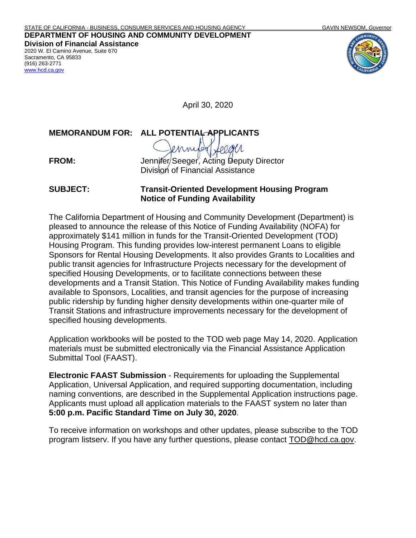**DEPARTMENT OF HOUSING AND COMMUNITY DEVELOPMENT Division of Financial Assistance**  2020 W. El Camino Avenue, Suite 670 Sacramento, CA 95833 (916) 263-2771 [www.hcd.ca.gov](http://www.hcd.ca.gov/)



April 30, 2020

**MEMORANDUM FOR: ALL POTENTIAL APPLICANTS**

**FROM:** Jennifer Seeger, Acting Deputy Director Division of Financial Assistance

**SUBJECT: Transit-Oriented Development Housing Program Notice of Funding Availability**

The California Department of Housing and Community Development (Department) is pleased to announce the release of this Notice of Funding Availability (NOFA) for approximately \$141 million in funds for the Transit-Oriented Development (TOD) Housing Program. This funding provides low-interest permanent Loans to eligible Sponsors for Rental Housing Developments. It also provides Grants to Localities and public transit agencies for Infrastructure Projects necessary for the development of specified Housing Developments, or to facilitate connections between these developments and a Transit Station. This Notice of Funding Availability makes funding available to Sponsors, Localities, and transit agencies for the purpose of increasing public ridership by funding higher density developments within one-quarter mile of Transit Stations and infrastructure improvements necessary for the development of specified housing developments.

Application workbooks will be posted to the TOD web page May 14, 2020. Application materials must be submitted electronically via the Financial Assistance Application Submittal Tool (FAAST).

**Electronic FAAST Submission** - Requirements for uploading the Supplemental Application, Universal Application, and required supporting documentation, including naming conventions, are described in the Supplemental Application instructions page. Applicants must upload all application materials to the FAAST system no later than **5:00 p.m. Pacific Standard Time on July 30, 2020**.

To receive information on workshops and other updates, please subscribe to the TOD program listserv. If you have any further questions, please contact [TOD@hcd.ca.gov.](mailto:TOD@hcd.ca.gov)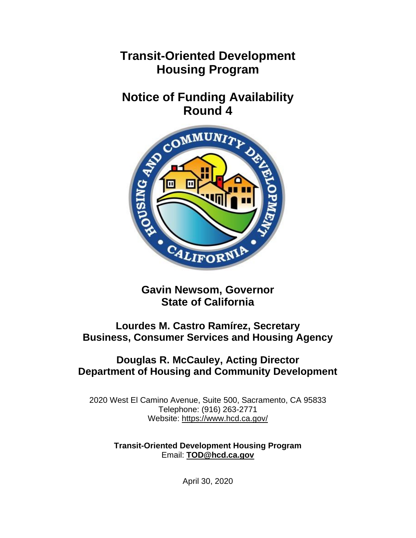## **Transit-Oriented Development Housing Program**

# **Notice of Funding Availability**



**Gavin Newsom, Governor State of California**

## **Lourdes M. Castro Ramírez, Secretary Business, Consumer Services and Housing Agency**

### **Douglas R. McCauley, Acting Director Department of Housing and Community Development**

2020 West El Camino Avenue, Suite 500, Sacramento, CA 95833 Telephone: (916) 263-2771 Website: <https://www.hcd.ca.gov/>

> **Transit-Oriented Development Housing Program** Email: **[TOD@hcd.ca.gov](mailto:TOD@hcd.ca.gov)**

> > April 30, 2020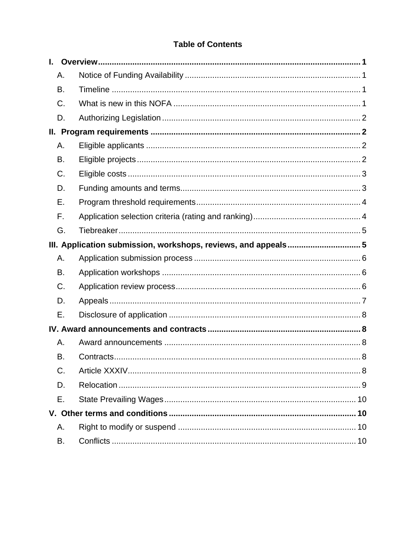#### **Table of Contents**

| L.  |                                                               |
|-----|---------------------------------------------------------------|
| Α.  |                                                               |
| В.  |                                                               |
| C.  |                                                               |
| D.  |                                                               |
| II. |                                                               |
| Α.  |                                                               |
| B.  |                                                               |
| C.  |                                                               |
| D.  |                                                               |
| Е.  |                                                               |
| F.  |                                                               |
| G.  |                                                               |
|     | III. Application submission, workshops, reviews, and appeals5 |
| Α.  |                                                               |
| B.  |                                                               |
| C.  |                                                               |
| D.  |                                                               |
| Е.  |                                                               |
|     |                                                               |
| Α.  |                                                               |
| В.  |                                                               |
| C.  |                                                               |
| D.  |                                                               |
| Е.  |                                                               |
|     |                                                               |
| Α.  |                                                               |
| В.  |                                                               |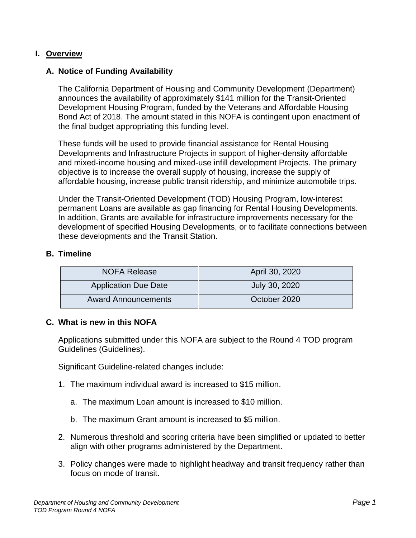#### <span id="page-3-0"></span>**I. Overview**

#### <span id="page-3-1"></span>**A. Notice of Funding Availability**

The California Department of Housing and Community Development (Department) announces the availability of approximately \$141 million for the Transit-Oriented Development Housing Program, funded by the Veterans and Affordable Housing Bond Act of 2018. The amount stated in this NOFA is contingent upon enactment of the final budget appropriating this funding level.

These funds will be used to provide financial assistance for Rental Housing Developments and Infrastructure Projects in support of higher-density affordable and mixed-income housing and mixed-use infill development Projects. The primary objective is to increase the overall supply of housing, increase the supply of affordable housing, increase public transit ridership, and minimize automobile trips.

Under the Transit-Oriented Development (TOD) Housing Program, low-interest permanent Loans are available as gap financing for Rental Housing Developments. In addition, Grants are available for infrastructure improvements necessary for the development of specified Housing Developments, or to facilitate connections between these developments and the Transit Station.

#### <span id="page-3-2"></span>**B. Timeline**

| <b>NOFA Release</b>         | April 30, 2020 |
|-----------------------------|----------------|
| <b>Application Due Date</b> | July 30, 2020  |
| <b>Award Announcements</b>  | October 2020   |

#### <span id="page-3-3"></span>**C. What is new in this NOFA**

Applications submitted under this NOFA are subject to the Round 4 TOD program Guidelines (Guidelines).

Significant Guideline-related changes include:

- 1. The maximum individual award is increased to \$15 million.
	- a. The maximum Loan amount is increased to \$10 million.
	- b. The maximum Grant amount is increased to \$5 million.
- 2. Numerous threshold and scoring criteria have been simplified or updated to better align with other programs administered by the Department.
- 3. Policy changes were made to highlight headway and transit frequency rather than focus on mode of transit.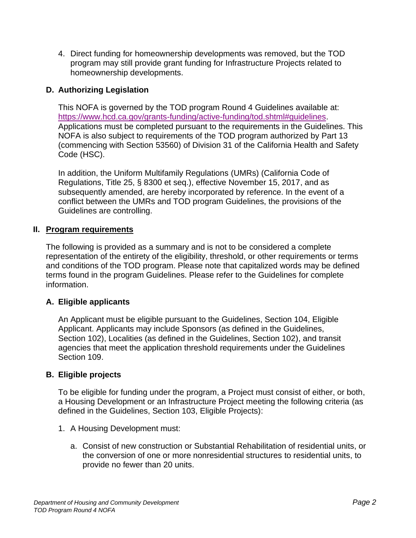4. Direct funding for homeownership developments was removed, but the TOD program may still provide grant funding for Infrastructure Projects related to homeownership developments.

#### <span id="page-4-0"></span>**D. Authorizing Legislation**

This NOFA is governed by the TOD program Round 4 Guidelines available at: [https://www.hcd.ca.gov/grants-funding/active-funding/tod.shtml#guidelines.](https://www.hcd.ca.gov/grants-funding/active-funding/tod.shtml#guidelines) Applications must be completed pursuant to the requirements in the Guidelines. This NOFA is also subject to requirements of the TOD program authorized by Part 13 (commencing with Section 53560) of Division 31 of the California Health and Safety Code (HSC).

In addition, the Uniform Multifamily Regulations (UMRs) (California Code of Regulations, Title 25, § 8300 et seq.), effective November 15, 2017, and as subsequently amended, are hereby incorporated by reference. In the event of a conflict between the UMRs and TOD program Guidelines, the provisions of the Guidelines are controlling.

#### <span id="page-4-1"></span>**II. Program requirements**

The following is provided as a summary and is not to be considered a complete representation of the entirety of the eligibility, threshold, or other requirements or terms and conditions of the TOD program. Please note that capitalized words may be defined terms found in the program Guidelines. Please refer to the Guidelines for complete information.

#### <span id="page-4-2"></span>**A. Eligible applicants**

An Applicant must be eligible pursuant to the Guidelines, Section 104, Eligible Applicant. Applicants may include Sponsors (as defined in the Guidelines, Section 102), Localities (as defined in the Guidelines, Section 102), and transit agencies that meet the application threshold requirements under the Guidelines Section 109.

#### <span id="page-4-3"></span>**B. Eligible projects**

To be eligible for funding under the program, a Project must consist of either, or both, a Housing Development or an Infrastructure Project meeting the following criteria (as defined in the Guidelines, Section 103, Eligible Projects):

- 1. A Housing Development must:
	- a. Consist of new construction or Substantial Rehabilitation of residential units, or the conversion of one or more nonresidential structures to residential units, to provide no fewer than 20 units.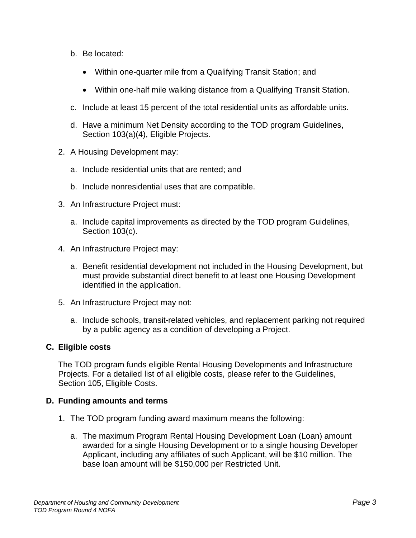- b. Be located:
	- Within one-quarter mile from a Qualifying Transit Station; and
	- Within one-half mile walking distance from a Qualifying Transit Station.
- c. Include at least 15 percent of the total residential units as affordable units.
- d. Have a minimum Net Density according to the TOD program Guidelines, Section 103(a)(4), Eligible Projects.
- 2. A Housing Development may:
	- a. Include residential units that are rented; and
	- b. Include nonresidential uses that are compatible.
- 3. An Infrastructure Project must:
	- a. Include capital improvements as directed by the TOD program Guidelines, Section 103(c).
- 4. An Infrastructure Project may:
	- a. Benefit residential development not included in the Housing Development, but must provide substantial direct benefit to at least one Housing Development identified in the application.
- 5. An Infrastructure Project may not:
	- a. Include schools, transit-related vehicles, and replacement parking not required by a public agency as a condition of developing a Project.

#### <span id="page-5-0"></span>**C. Eligible costs**

The TOD program funds eligible Rental Housing Developments and Infrastructure Projects. For a detailed list of all eligible costs, please refer to the Guidelines, Section 105, Eligible Costs.

#### <span id="page-5-1"></span>**D. Funding amounts and terms**

- 1. The TOD program funding award maximum means the following:
	- a. The maximum Program Rental Housing Development Loan (Loan) amount awarded for a single Housing Development or to a single housing Developer Applicant, including any affiliates of such Applicant, will be \$10 million. The base loan amount will be \$150,000 per Restricted Unit.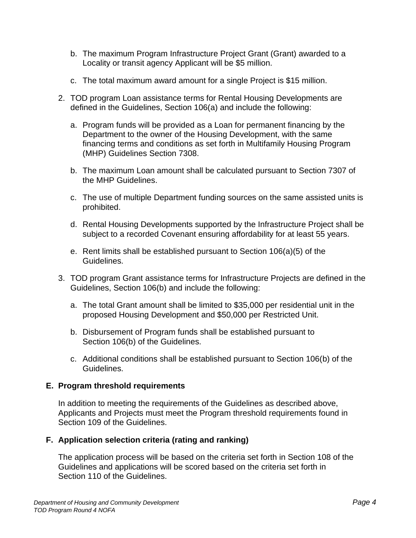- b. The maximum Program Infrastructure Project Grant (Grant) awarded to a Locality or transit agency Applicant will be \$5 million.
- c. The total maximum award amount for a single Project is \$15 million.
- 2. TOD program Loan assistance terms for Rental Housing Developments are defined in the Guidelines, Section 106(a) and include the following:
	- a. Program funds will be provided as a Loan for permanent financing by the Department to the owner of the Housing Development, with the same financing terms and conditions as set forth in Multifamily Housing Program (MHP) Guidelines Section 7308.
	- b. The maximum Loan amount shall be calculated pursuant to Section 7307 of the MHP Guidelines.
	- c. The use of multiple Department funding sources on the same assisted units is prohibited.
	- d. Rental Housing Developments supported by the Infrastructure Project shall be subject to a recorded Covenant ensuring affordability for at least 55 years.
	- e. Rent limits shall be established pursuant to Section 106(a)(5) of the Guidelines.
- 3. TOD program Grant assistance terms for Infrastructure Projects are defined in the Guidelines, Section 106(b) and include the following:
	- a. The total Grant amount shall be limited to \$35,000 per residential unit in the proposed Housing Development and \$50,000 per Restricted Unit.
	- b. Disbursement of Program funds shall be established pursuant to Section 106(b) of the Guidelines.
	- c. Additional conditions shall be established pursuant to Section 106(b) of the Guidelines.

#### <span id="page-6-0"></span>**E. Program threshold requirements**

In addition to meeting the requirements of the Guidelines as described above, Applicants and Projects must meet the Program threshold requirements found in Section 109 of the Guidelines.

#### <span id="page-6-1"></span>**F. Application selection criteria (rating and ranking)**

The application process will be based on the criteria set forth in Section 108 of the Guidelines and applications will be scored based on the criteria set forth in Section 110 of the Guidelines.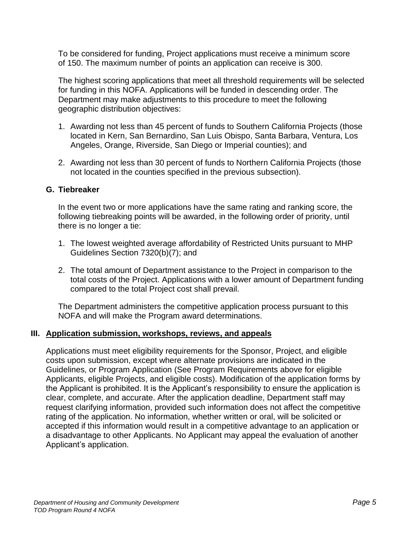To be considered for funding, Project applications must receive a minimum score of 150. The maximum number of points an application can receive is 300.

The highest scoring applications that meet all threshold requirements will be selected for funding in this NOFA. Applications will be funded in descending order. The Department may make adjustments to this procedure to meet the following geographic distribution objectives:

- 1. Awarding not less than 45 percent of funds to Southern California Projects (those located in Kern, San Bernardino, San Luis Obispo, Santa Barbara, Ventura, Los Angeles, Orange, Riverside, San Diego or Imperial counties); and
- 2. Awarding not less than 30 percent of funds to Northern California Projects (those not located in the counties specified in the previous subsection).

#### <span id="page-7-0"></span>**G. Tiebreaker**

In the event two or more applications have the same rating and ranking score, the following tiebreaking points will be awarded, in the following order of priority, until there is no longer a tie:

- 1. The lowest weighted average affordability of Restricted Units pursuant to MHP Guidelines Section 7320(b)(7); and
- 2. The total amount of Department assistance to the Project in comparison to the total costs of the Project. Applications with a lower amount of Department funding compared to the total Project cost shall prevail.

The Department administers the competitive application process pursuant to this NOFA and will make the Program award determinations.

#### <span id="page-7-1"></span>**III. Application submission, workshops, reviews, and appeals**

Applications must meet eligibility requirements for the Sponsor, Project, and eligible costs upon submission, except where alternate provisions are indicated in the Guidelines, or Program Application (See Program Requirements above for eligible Applicants, eligible Projects, and eligible costs). Modification of the application forms by the Applicant is prohibited. It is the Applicant's responsibility to ensure the application is clear, complete, and accurate. After the application deadline, Department staff may request clarifying information, provided such information does not affect the competitive rating of the application. No information, whether written or oral, will be solicited or accepted if this information would result in a competitive advantage to an application or a disadvantage to other Applicants. No Applicant may appeal the evaluation of another Applicant's application.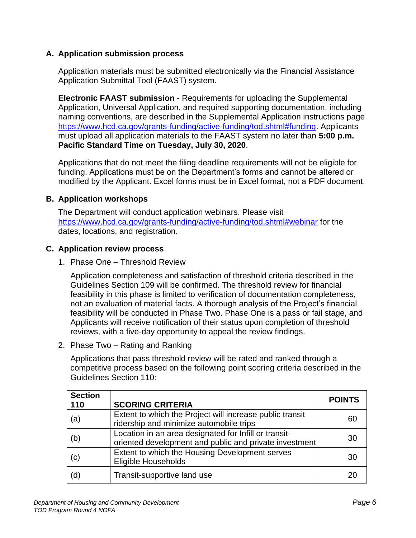#### <span id="page-8-0"></span>**A. Application submission process**

Application materials must be submitted electronically via the Financial Assistance Application Submittal Tool (FAAST) system.

**Electronic FAAST submission** - Requirements for uploading the Supplemental Application, Universal Application, and required supporting documentation, including naming conventions, are described in the Supplemental Application instructions page [https://www.hcd.ca.gov/grants-funding/active-funding/tod.shtml#funding.](https://www.hcd.ca.gov/grants-funding/active-funding/tod.shtml#funding) Applicants must upload all application materials to the FAAST system no later than **5:00 p.m. Pacific Standard Time on Tuesday, July 30, 2020**.

Applications that do not meet the filing deadline requirements will not be eligible for funding. Applications must be on the Department's forms and cannot be altered or modified by the Applicant. Excel forms must be in Excel format, not a PDF document.

#### <span id="page-8-1"></span>**B. Application workshops**

The Department will conduct application webinars. Please visit <https://www.hcd.ca.gov/grants-funding/active-funding/tod.shtml#webinar> for the dates, locations, and registration.

#### <span id="page-8-2"></span>**C. Application review process**

1. Phase One – Threshold Review

Application completeness and satisfaction of threshold criteria described in the Guidelines Section 109 will be confirmed. The threshold review for financial feasibility in this phase is limited to verification of documentation completeness, not an evaluation of material facts. A thorough analysis of the Project's financial feasibility will be conducted in Phase Two. Phase One is a pass or fail stage, and Applicants will receive notification of their status upon completion of threshold reviews, with a five-day opportunity to appeal the review findings.

2. Phase Two – Rating and Ranking

Applications that pass threshold review will be rated and ranked through a competitive process based on the following point scoring criteria described in the Guidelines Section 110:

| <b>Section</b><br>110 | <b>SCORING CRITERIA</b>                                                                                         | <b>POINTS</b> |
|-----------------------|-----------------------------------------------------------------------------------------------------------------|---------------|
| (a)                   | Extent to which the Project will increase public transit<br>ridership and minimize automobile trips             | 60            |
| (b)                   | Location in an area designated for Infill or transit-<br>oriented development and public and private investment | 30            |
| (c)                   | Extent to which the Housing Development serves<br>Eligible Households                                           | 30            |
| 'd                    | Transit-supportive land use                                                                                     |               |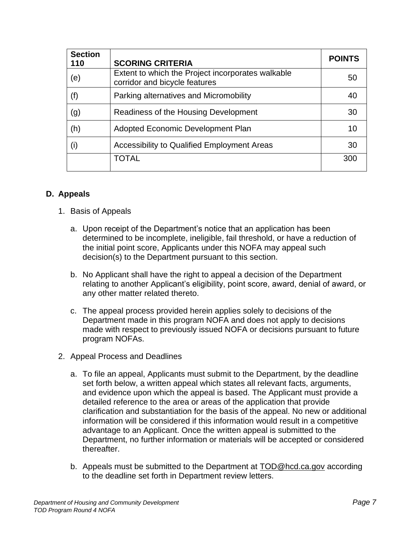| <b>Section</b><br>110 | <b>SCORING CRITERIA</b>                                                            | <b>POINTS</b> |
|-----------------------|------------------------------------------------------------------------------------|---------------|
| (e)                   | Extent to which the Project incorporates walkable<br>corridor and bicycle features | 50            |
| (f)                   | Parking alternatives and Micromobility                                             | 40            |
| (g)                   | Readiness of the Housing Development                                               | 30            |
| (h)                   | Adopted Economic Development Plan                                                  | 10            |
| (i)                   | Accessibility to Qualified Employment Areas                                        | 30            |
|                       | <b>TOTAL</b>                                                                       | 300           |

#### <span id="page-9-0"></span>**D. Appeals**

- 1. Basis of Appeals
	- a. Upon receipt of the Department's notice that an application has been determined to be incomplete, ineligible, fail threshold, or have a reduction of the initial point score, Applicants under this NOFA may appeal such decision(s) to the Department pursuant to this section.
	- b. No Applicant shall have the right to appeal a decision of the Department relating to another Applicant's eligibility, point score, award, denial of award, or any other matter related thereto.
	- c. The appeal process provided herein applies solely to decisions of the Department made in this program NOFA and does not apply to decisions made with respect to previously issued NOFA or decisions pursuant to future program NOFAs.
- 2. Appeal Process and Deadlines
	- a. To file an appeal, Applicants must submit to the Department, by the deadline set forth below, a written appeal which states all relevant facts, arguments, and evidence upon which the appeal is based. The Applicant must provide a detailed reference to the area or areas of the application that provide clarification and substantiation for the basis of the appeal. No new or additional information will be considered if this information would result in a competitive advantage to an Applicant. Once the written appeal is submitted to the Department, no further information or materials will be accepted or considered thereafter.
	- b. Appeals must be submitted to the Department at [TOD@hcd.ca.gov](mailto:TOD@hcd.ca.gov) according to the deadline set forth in Department review letters.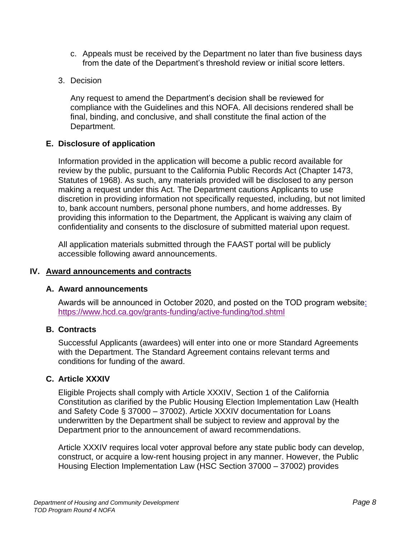- c. Appeals must be received by the Department no later than five business days from the date of the Department's threshold review or initial score letters.
- 3. Decision

Any request to amend the Department's decision shall be reviewed for compliance with the Guidelines and this NOFA. All decisions rendered shall be final, binding, and conclusive, and shall constitute the final action of the Department.

#### <span id="page-10-0"></span>**E. Disclosure of application**

Information provided in the application will become a public record available for review by the public, pursuant to the California Public Records Act (Chapter 1473, Statutes of 1968). As such, any materials provided will be disclosed to any person making a request under this Act. The Department cautions Applicants to use discretion in providing information not specifically requested, including, but not limited to, bank account numbers, personal phone numbers, and home addresses. By providing this information to the Department, the Applicant is waiving any claim of confidentiality and consents to the disclosure of submitted material upon request.

All application materials submitted through the FAAST portal will be publicly accessible following award announcements.

#### <span id="page-10-1"></span>**IV. Award announcements and contracts**

#### <span id="page-10-2"></span>**A. Award announcements**

Awards will be announced in October 2020, and posted on the TOD program website: <https://www.hcd.ca.gov/grants-funding/active-funding/tod.shtml>

#### <span id="page-10-3"></span>**B. Contracts**

Successful Applicants (awardees) will enter into one or more Standard Agreements with the Department. The Standard Agreement contains relevant terms and conditions for funding of the award.

#### <span id="page-10-4"></span>**C. Article XXXIV**

Eligible Projects shall comply with Article XXXIV, Section 1 of the California Constitution as clarified by the Public Housing Election Implementation Law (Health and Safety Code § 37000 – 37002). Article XXXIV documentation for Loans underwritten by the Department shall be subject to review and approval by the Department prior to the announcement of award recommendations.

Article XXXIV requires local voter approval before any state public body can develop, construct, or acquire a low-rent housing project in any manner. However, the Public Housing Election Implementation Law (HSC Section 37000 – 37002) provides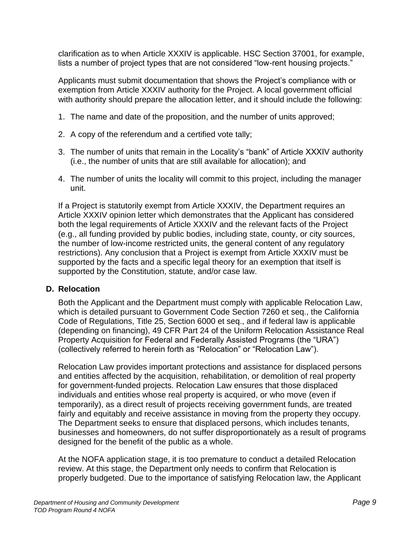clarification as to when Article XXXIV is applicable. HSC Section 37001, for example, lists a number of project types that are not considered "low-rent housing projects."

Applicants must submit documentation that shows the Project's compliance with or exemption from Article XXXIV authority for the Project. A local government official with authority should prepare the allocation letter, and it should include the following:

- 1. The name and date of the proposition, and the number of units approved;
- 2. A copy of the referendum and a certified vote tally;
- 3. The number of units that remain in the Locality's "bank" of Article XXXIV authority (i.e., the number of units that are still available for allocation); and
- 4. The number of units the locality will commit to this project, including the manager unit.

If a Project is statutorily exempt from Article XXXIV, the Department requires an Article XXXIV opinion letter which demonstrates that the Applicant has considered both the legal requirements of Article XXXIV and the relevant facts of the Project (e.g., all funding provided by public bodies, including state, county, or city sources, the number of low-income restricted units, the general content of any regulatory restrictions). Any conclusion that a Project is exempt from Article XXXIV must be supported by the facts and a specific legal theory for an exemption that itself is supported by the Constitution, statute, and/or case law.

#### <span id="page-11-0"></span>**D. Relocation**

Both the Applicant and the Department must comply with applicable Relocation Law, which is detailed pursuant to Government Code Section 7260 et seq., the California Code of Regulations, Title 25, Section 6000 et seq., and if federal law is applicable (depending on financing), 49 CFR Part 24 of the Uniform Relocation Assistance Real Property Acquisition for Federal and Federally Assisted Programs (the "URA") (collectively referred to herein forth as "Relocation" or "Relocation Law").

Relocation Law provides important protections and assistance for displaced persons and entities affected by the acquisition, rehabilitation, or demolition of real property for government-funded projects. Relocation Law ensures that those displaced individuals and entities whose real property is acquired, or who move (even if temporarily), as a direct result of projects receiving government funds, are treated fairly and equitably and receive assistance in moving from the property they occupy. The Department seeks to ensure that displaced persons, which includes tenants, businesses and homeowners, do not suffer disproportionately as a result of programs designed for the benefit of the public as a whole.

At the NOFA application stage, it is too premature to conduct a detailed Relocation review. At this stage, the Department only needs to confirm that Relocation is properly budgeted. Due to the importance of satisfying Relocation law, the Applicant